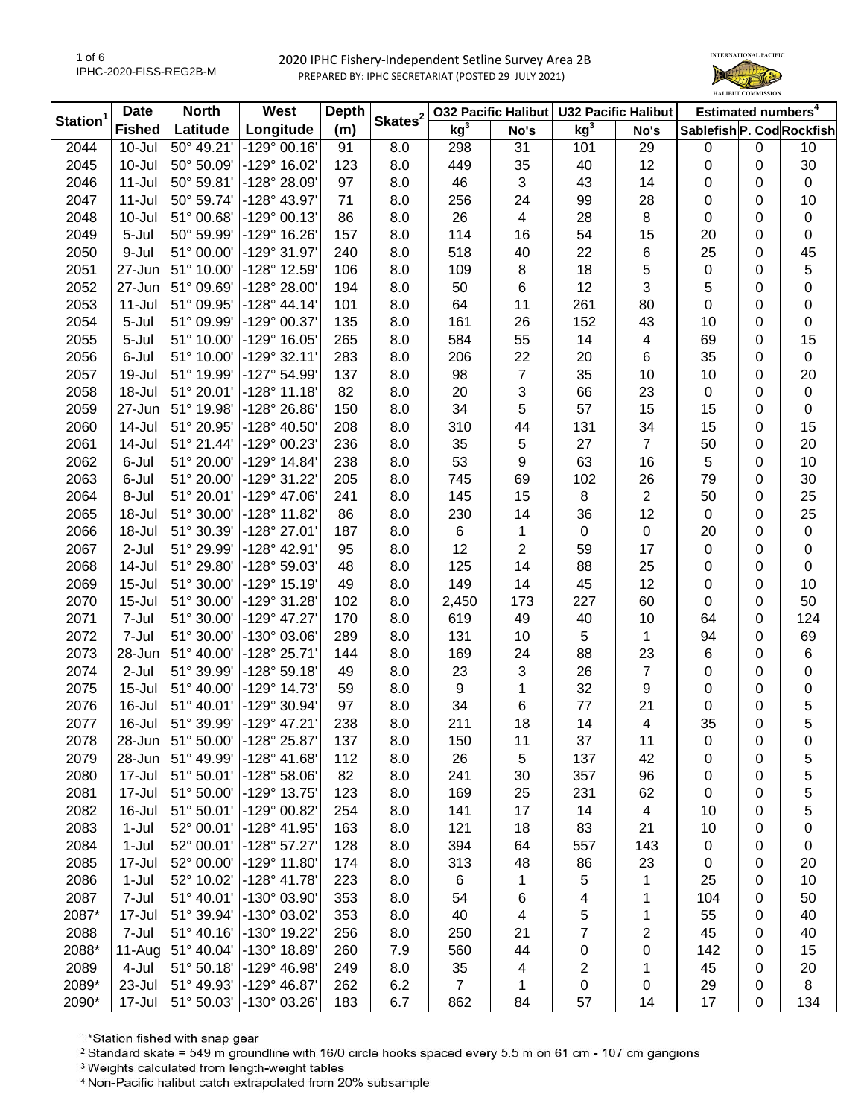

|                      | <b>Date</b>   | <b>North</b> | West                    | <b>Depth</b> |                     | <b>032 Pacific Halibut</b> |      | <b>U32 Pacific Halibut</b> |                | Estimated numbers <sup>4</sup> |   |             |
|----------------------|---------------|--------------|-------------------------|--------------|---------------------|----------------------------|------|----------------------------|----------------|--------------------------------|---|-------------|
| Station <sup>1</sup> | <b>Fished</b> | Latitude     | Longitude               | (m)          | Skates <sup>2</sup> | kg <sup>3</sup>            | No's | kg <sup>3</sup>            | No's           | Sablefish P. Cod Rockfish      |   |             |
| 2044                 | $10 -$ Jul    | 50° 49.21'   | $-129°00.16'$           | 91           | 8.0                 | 298                        | 31   | 101                        | 29             | 0                              | 0 | 10          |
| 2045                 | $10 -$ Jul    | 50° 50.09'   | -129° 16.02'            | 123          | 8.0                 | 449                        | 35   | 40                         | 12             | 0                              | 0 | 30          |
| 2046                 | $11 -$ Jul    | 50° 59.81'   | -128° 28.09'            | 97           | 8.0                 | 46                         | 3    | 43                         | 14             | 0                              | 0 | $\mathbf 0$ |
| 2047                 | $11 -$ Jul    | 50° 59.74'   | -128° 43.97'            | 71           | 8.0                 | 256                        | 24   | 99                         | 28             | 0                              | 0 | 10          |
| 2048                 | $10 -$ Jul    | 51° 00.68'   | -129° 00.13'            | 86           | 8.0                 | 26                         | 4    | 28                         | 8              | 0                              | 0 | $\pmb{0}$   |
| 2049                 | 5-Jul         | 50° 59.99'   | $-129^{\circ}$ 16.26    | 157          | 8.0                 | 114                        | 16   | 54                         | 15             | 20                             | 0 | 0           |
| 2050                 | 9-Jul         | 51° 00.00'   | -129° 31.97'            | 240          | 8.0                 | 518                        | 40   | 22                         | 6              | 25                             | 0 | 45          |
| 2051                 | 27-Jun        | 51° 10.00'   | -128° 12.59'            | 106          | 8.0                 | 109                        | 8    | 18                         | 5              | 0                              | 0 | 5           |
| 2052                 | 27-Jun        | 51° 09.69'   | $-128°28.00'$           | 194          | 8.0                 | 50                         | 6    | 12                         | 3              | 5                              | 0 | 0           |
| 2053                 | $11 -$ Jul    | 51° 09.95'   | $-128° 44.14'$          | 101          | 8.0                 | 64                         | 11   | 261                        | 80             | 0                              | 0 | 0           |
| 2054                 | 5-Jul         | 51° 09.99'   | -129° 00.37'            | 135          | 8.0                 | 161                        | 26   | 152                        | 43             | 10                             | 0 | 0           |
| 2055                 | 5-Jul         | 51° 10.00'   | $-129°$ 16.05           | 265          | 8.0                 | 584                        | 55   | 14                         | 4              | 69                             | 0 | 15          |
| 2056                 | 6-Jul         | 51° 10.00'   | $-129°32.11'$           | 283          | 8.0                 | 206                        | 22   | 20                         | 6              | 35                             | 0 | 0           |
| 2057                 | 19-Jul        | 51° 19.99'   | -127° 54.99             | 137          | 8.0                 | 98                         | 7    | 35                         | 10             | 10                             | 0 | 20          |
| 2058                 | 18-Jul        | 51° 20.01'   | $-128°11.18$            | 82           | 8.0                 | 20                         | 3    | 66                         | 23             | 0                              | 0 | $\pmb{0}$   |
| 2059                 | 27-Jun        | 51° 19.98'   | -128° 26.86'            | 150          | 8.0                 | 34                         | 5    | 57                         | 15             | 15                             | 0 | 0           |
| 2060                 | $14 -$ Jul    | 51° 20.95'   | -128° 40.50'            | 208          | 8.0                 | 310                        | 44   | 131                        | 34             | 15                             | 0 | 15          |
| 2061                 | $14 -$ Jul    | 51° 21.44'   | -129° 00.23'            | 236          | 8.0                 | 35                         | 5    | 27                         | $\overline{7}$ | 50                             | 0 | 20          |
| 2062                 | 6-Jul         | 51° 20.00'   | $-129°$ 14.84           | 238          | 8.0                 | 53                         | 9    | 63                         | 16             | 5                              | 0 | 10          |
| 2063                 | 6-Jul         | 51° 20.00'   | $-129°31.22'$           | 205          | 8.0                 | 745                        | 69   | 102                        | 26             | 79                             | 0 | 30          |
| 2064                 | 8-Jul         | 51° 20.01'   | $-129° 47.06'$          | 241          | 8.0                 | 145                        | 15   | 8                          | $\overline{c}$ | 50                             | 0 | 25          |
| 2065                 | 18-Jul        | 51° 30.00'   | -128° 11.82'            | 86           | 8.0                 | 230                        | 14   | 36                         | 12             | 0                              | 0 | 25          |
| 2066                 | 18-Jul        | 51° 30.39'   | $-128°27.01'$           | 187          | 8.0                 | 6                          | 1    | $\pmb{0}$                  | $\pmb{0}$      | 20                             | 0 | $\pmb{0}$   |
| 2067                 | 2-Jul         | 51° 29.99'   | -128° 42.91'            | 95           | 8.0                 | 12                         | 2    | 59                         | 17             | 0                              | 0 | $\pmb{0}$   |
| 2068                 | 14-Jul        | 51° 29.80'   | -128° 59.03'            | 48           | 8.0                 | 125                        | 14   | 88                         | 25             | 0                              | 0 | 0           |
| 2069                 | $15 -$ Jul    | 51° 30.00'   | $-129°$ 15.19           | 49           | 8.0                 | 149                        | 14   | 45                         | 12             | 0                              | 0 | 10          |
| 2070                 | $15 -$ Jul    | 51° 30.00'   | -129° 31.28'            | 102          | 8.0                 | 2,450                      | 173  | 227                        | 60             | 0                              | 0 | 50          |
| 2071                 | 7-Jul         | 51° 30.00'   | $-129^{\circ}$ 47.27'   | 170          | 8.0                 | 619                        | 49   | 40                         | 10             | 64                             | 0 | 124         |
| 2072                 | 7-Jul         | 51° 30.00'   | $-130^{\circ}$ 03.06    | 289          | 8.0                 | 131                        | 10   | 5                          | $\mathbf{1}$   | 94                             | 0 | 69          |
| 2073                 | 28-Jun        | 51° 40.00'   | $-128°25.71$            | 144          | 8.0                 | 169                        | 24   | 88                         | 23             | 6                              | 0 | 6           |
| 2074                 | 2-Jul         | 51° 39.99'   | $-128°59.18'$           | 49           | 8.0                 | 23                         | 3    | 26                         | $\overline{7}$ | 0                              | 0 | 0           |
| 2075                 | $15 -$ Jul    | 51° 40.00'   | $-129°$ 14.73           | 59           | 8.0                 | 9                          | 1    | 32                         | 9              | 0                              | 0 | 0           |
| 2076                 | 16-Jul        | 51° 40.01'   | $-129°30.94'$           | 97           | 8.0                 | 34                         | 6    | 77                         | 21             | 0                              | 0 | 5           |
| 2077                 | 16-Jul        | 51° 39.99'   | -129° 47.21'            | 238          | 8.0                 | 211                        | 18   | 14                         | 4              | 35                             | 0 | 5           |
| 2078                 | 28-Jun        |              | 51° 50.00' -128° 25.87' | 137          | 8.0                 | 150                        | 11   | 37                         | 11             | 0                              | 0 | 0           |
| 2079                 | 28-Jun        | 51° 49.99'   | $-128° 41.68'$          | 112          | 8.0                 | 26                         | 5    | 137                        | 42             | 0                              | 0 | 5           |
| 2080                 | 17-Jul        | 51° 50.01'   | $-128°58.06'$           | 82           | 8.0                 | 241                        | 30   | 357                        | 96             | 0                              | 0 | 5           |
| 2081                 | 17-Jul        | 51° 50.00'   | -129° 13.75'            | 123          | 8.0                 | 169                        | 25   | 231                        | 62             | 0                              | 0 | 5           |
| 2082                 | 16-Jul        | 51° 50.01'   | -129° 00.82'            | 254          | 8.0                 | 141                        | 17   | 14                         | 4              | 10                             | 0 | 5           |
| 2083                 | $1-Jul$       | 52° 00.01'   | $-128°$ 41.95           | 163          | 8.0                 | 121                        | 18   | 83                         | 21             | 10                             | 0 | 0           |
| 2084                 | $1-Jul$       | 52° 00.01'   | $-128°57.27'$           | 128          | 8.0                 | 394                        | 64   | 557                        | 143            | 0                              | 0 | 0           |
| 2085                 | 17-Jul        | 52° 00.00'   | $-129^{\circ}$ 11.80    | 174          | 8.0                 | 313                        | 48   | 86                         | 23             | 0                              | 0 | 20          |
| 2086                 | $1-Jul$       | 52° 10.02'   | $-128^{\circ}$ 41.78    | 223          | 8.0                 | 6                          | 1    | 5                          | 1              | 25                             | 0 | 10          |
| 2087                 | 7-Jul         | 51° 40.01'   | -130° 03.90'            | 353          | 8.0                 | 54                         | 6    | 4                          | 1              | 104                            | 0 | 50          |
| 2087*                | 17-Jul        | 51° 39.94'   | -130° 03.02             | 353          | 8.0                 | 40                         | 4    | 5                          | 1              | 55                             | 0 | 40          |
| 2088                 | 7-Jul         | 51° 40.16'   | -130° 19.22'            | 256          | 8.0                 | 250                        | 21   | 7                          | 2              | 45                             | 0 | 40          |
| 2088*                | 11-Aug        | 51° 40.04'   | $-130^{\circ}$ 18.89    | 260          | 7.9                 | 560                        | 44   | 0                          | 0              | 142                            | 0 | 15          |
| 2089                 | 4-Jul         | 51° 50.18'   | $-129^{\circ}$ 46.98    | 249          | 8.0                 | 35                         | 4    | 2                          | 1              | 45                             | 0 | 20          |
| 2089*                | 23-Jul        | 51° 49.93'   | -129° 46.87'            | 262          | 6.2                 | $\overline{7}$             | 1    | 0                          | 0              | 29                             | 0 | 8           |
| 2090*                | 17-Jul        |              | 51° 50.03' -130° 03.26' | 183          | 6.7                 | 862                        | 84   | 57                         | 14             | 17                             | 0 | 134         |

<sup>1</sup>\*Station fished with snap gear

<sup>2</sup> Standard skate = 549 m groundline with 16/0 circle hooks spaced every 5.5 m on 61 cm - 107 cm gangions

<sup>3</sup> Weights calculated from length-weight tables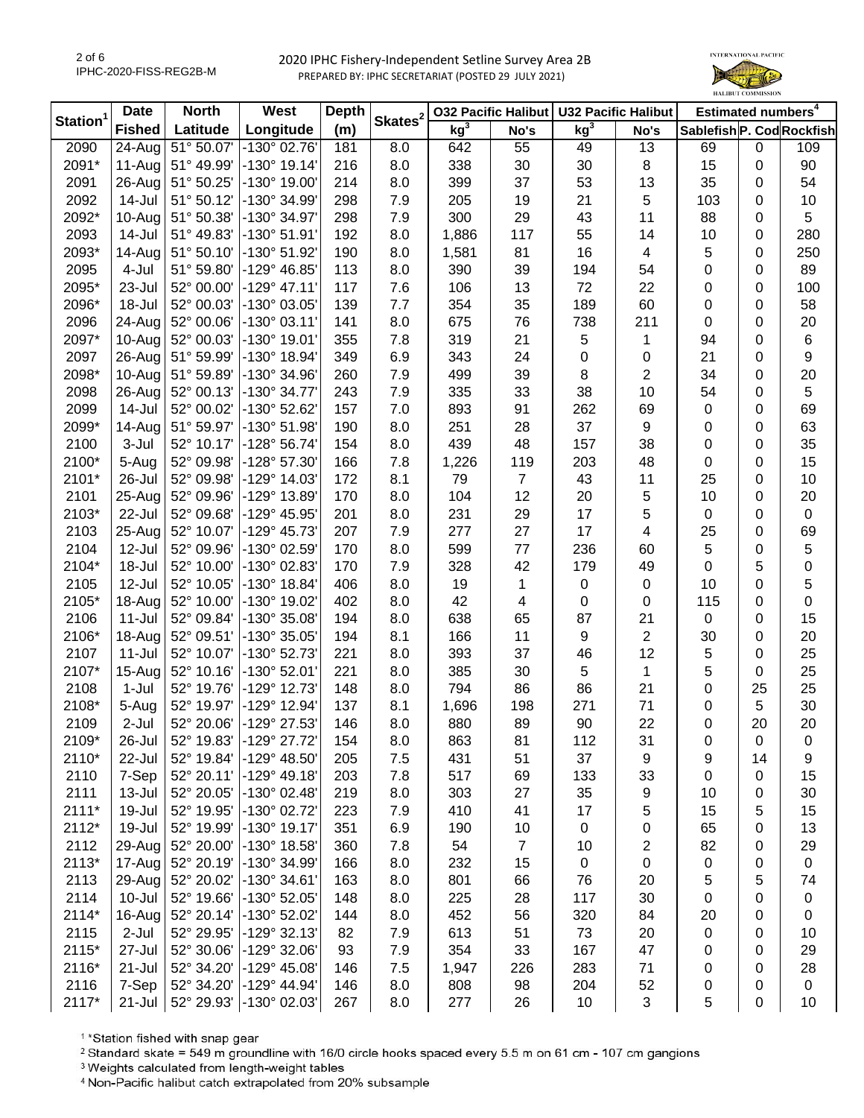

|                      | <b>Date</b>          | <b>North</b> | West                  | <b>Depth</b><br>Skates <sup>2</sup> |     | <b>032 Pacific Halibut</b> |                | <b>U32 Pacific Halibut</b> |                          | Estimated numbers <sup>4</sup> |    |                  |
|----------------------|----------------------|--------------|-----------------------|-------------------------------------|-----|----------------------------|----------------|----------------------------|--------------------------|--------------------------------|----|------------------|
| Station <sup>1</sup> | <b>Fished</b>        | Latitude     | Longitude             | (m)                                 |     | kg <sup>3</sup>            | No's           | kg <sup>3</sup>            | No's                     | Sablefish P. Cod Rockfish      |    |                  |
| 2090                 | $\overline{24}$ -Aug | 51° 50.07'   | -130° 02.76'          | 181                                 | 8.0 | 642                        | 55             | 49                         | 13                       | 69                             | 0  | 109              |
| 2091*                | 11-Aug               | 51° 49.99'   | $-130^{\circ}$ 19.14' | 216                                 | 8.0 | 338                        | 30             | 30                         | 8                        | 15                             | 0  | 90               |
| 2091                 | 26-Aug               | 51° 50.25'   | $-130^{\circ}$ 19.00' | 214                                 | 8.0 | 399                        | 37             | 53                         | 13                       | 35                             | 0  | 54               |
| 2092                 | 14-Jul               | 51° 50.12'   | -130° 34.99'          | 298                                 | 7.9 | 205                        | 19             | 21                         | $\sqrt{5}$               | 103                            | 0  | 10               |
| 2092*                | 10-Aug               | 51° 50.38'   | -130° 34.97'          | 298                                 | 7.9 | 300                        | 29             | 43                         | 11                       | 88                             | 0  | 5                |
| 2093                 | 14-Jul               | 51° 49.83'   | $-130^{\circ} 51.91'$ | 192                                 | 8.0 | 1,886                      | 117            | 55                         | 14                       | 10                             | 0  | 280              |
| 2093*                | 14-Aug               | 51° 50.10'   | -130° 51.92'          | 190                                 | 8.0 | 1,581                      | 81             | 16                         | $\overline{\mathbf{4}}$  | 5                              | 0  | 250              |
| 2095                 | 4-Jul                | 51° 59.80'   | -129° 46.85'          | 113                                 | 8.0 | 390                        | 39             | 194                        | 54                       | 0                              | 0  | 89               |
| 2095*                | 23-Jul               | 52° 00.00'   | $-129°$ 47.11'        | 117                                 | 7.6 | 106                        | 13             | 72                         | 22                       | 0                              | 0  | 100              |
| 2096*                | 18-Jul               | 52° 00.03'   | -130° 03.05'          | 139                                 | 7.7 | 354                        | 35             | 189                        | 60                       | 0                              | 0  | 58               |
| 2096                 | 24-Aug               | 52° 00.06'   | $-130^{\circ}$ 03.11' | 141                                 | 8.0 | 675                        | 76             | 738                        | 211                      | 0                              | 0  | 20               |
| 2097*                | 10-Aug               | 52° 00.03'   | -130° 19.01'          | 355                                 | 7.8 | 319                        | 21             | 5                          | 1                        | 94                             | 0  | $\,6$            |
| 2097                 | 26-Aug               | 51° 59.99'   | -130° 18.94'          | 349                                 | 6.9 | 343                        | 24             | $\pmb{0}$                  | 0                        | 21                             | 0  | $\boldsymbol{9}$ |
| 2098*                | 10-Aug               | 51° 59.89'   | -130° 34.96'          | 260                                 | 7.9 | 499                        | 39             | 8                          | $\overline{2}$           | 34                             | 0  | 20               |
| 2098                 | 26-Aug               | 52° 00.13'   | -130° 34.77'          | 243                                 | 7.9 | 335                        | 33             | 38                         | 10                       | 54                             | 0  | $\,$ 5 $\,$      |
| 2099                 | 14-Jul               | 52° 00.02'   | -130° 52.62'          | 157                                 | 7.0 | 893                        | 91             | 262                        | 69                       | 0                              | 0  | 69               |
| 2099*                | 14-Aug               | 51° 59.97'   | $-130^{\circ} 51.98'$ | 190                                 | 8.0 | 251                        | 28             | 37                         | 9                        | 0                              | 0  | 63               |
| 2100                 | 3-Jul                | 52° 10.17'   | -128° 56.74'          | 154                                 | 8.0 | 439                        | 48             | 157                        | 38                       | 0                              | 0  | 35               |
| 2100*                | 5-Aug                | 52° 09.98'   | $-128°57.30'$         | 166                                 | 7.8 | 1,226                      | 119            | 203                        | 48                       | 0                              | 0  | 15               |
| 2101*                | 26-Jul               | 52° 09.98'   | -129° 14.03'          | 172                                 | 8.1 | 79                         | $\overline{7}$ | 43                         | 11                       | 25                             | 0  | 10               |
| 2101                 | 25-Aug               | 52° 09.96'   | -129° 13.89'          | 170                                 | 8.0 | 104                        | 12             | 20                         | 5                        | 10                             | 0  | 20               |
| 2103*                | 22-Jul               | 52° 09.68'   | -129° 45.95'          | 201                                 | 8.0 | 231                        | 29             | 17                         | 5                        | 0                              | 0  | $\mathbf 0$      |
| 2103                 | 25-Aug               | 52° 10.07'   | $-129^{\circ}$ 45.73' | 207                                 | 7.9 | 277                        | 27             | 17                         | $\overline{\mathcal{A}}$ | 25                             | 0  | 69               |
| 2104                 | 12-Jul               | 52° 09.96'   | -130° 02.59'          | 170                                 | 8.0 | 599                        | 77             | 236                        | 60                       | 5                              | 0  | 5                |
| 2104*                | 18-Jul               | 52° 10.00'   | -130° 02.83'          | 170                                 | 7.9 | 328                        | 42             | 179                        | 49                       | 0                              | 5  | 0                |
| 2105                 | 12-Jul               | 52° 10.05'   | -130° 18.84'          | 406                                 | 8.0 | 19                         | 1              | $\pmb{0}$                  | $\pmb{0}$                | 10                             | 0  | 5                |
| 2105*                | 18-Aug               | 52° 10.00'   | -130° 19.02'          | 402                                 | 8.0 | 42                         | 4              | $\pmb{0}$                  | $\pmb{0}$                | 115                            | 0  | 0                |
| 2106                 | $11 -$ Jul           | 52° 09.84'   | -130° 35.08'          | 194                                 | 8.0 | 638                        | 65             | 87                         | 21                       | $\mathbf 0$                    | 0  | 15               |
| 2106*                | 18-Aug               | 52° 09.51'   | -130° 35.05'          | 194                                 | 8.1 | 166                        | 11             | $\boldsymbol{9}$           | $\sqrt{2}$               | 30                             | 0  | 20               |
| 2107                 | $11$ -Jul            | 52° 10.07'   | -130° 52.73'          | 221                                 | 8.0 | 393                        | 37             | 46                         | 12                       | 5                              | 0  | 25               |
| 2107*                | 15-Aug               | 52° 10.16'   | $-130^{\circ}$ 52.01  | 221                                 | 8.0 | 385                        | 30             | 5                          | $\mathbf{1}$             | 5                              | 0  | 25               |
| 2108                 | 1-Jul                | 52° 19.76'   | -129° 12.73'          | 148                                 | 8.0 | 794                        | 86             | 86                         | 21                       | 0                              | 25 | 25               |
| 2108*                | 5-Aug                | 52° 19.97'   | -129° 12.94'          | 137                                 | 8.1 | 1,696                      | 198            | 271                        | 71                       | 0                              | 5  | 30               |
| 2109                 | 2-Jul                | 52° 20.06'   | -129° 27.53'          | 146                                 | 8.0 | 880                        | 89             | 90                         | 22                       | 0                              | 20 | 20               |
| 2109*                | 26-Jul               | 52° 19.83'   | -129° 27.72'          | 154                                 | 8.0 | 863                        | 81             | 112                        | 31                       | 0                              | 0  | 0                |
| 2110*                | 22-Jul               | 52° 19.84'   | -129° 48.50'          | 205                                 | 7.5 | 431                        | 51             | 37                         | 9                        | 9                              | 14 | 9                |
| 2110                 | 7-Sep                | 52° 20.11'   | $-129°$ 49.18'        | 203                                 | 7.8 | 517                        | 69             | 133                        | 33                       | 0                              | 0  | 15               |
| 2111                 | 13-Jul               | 52° 20.05'   | -130° 02.48'          | 219                                 | 8.0 | 303                        | 27             | 35                         | 9                        | 10                             | 0  | 30               |
| $2111*$              | 19-Jul               | 52° 19.95'   | -130° 02.72'          | 223                                 | 7.9 | 410                        | 41             | 17                         | 5                        | 15                             | 5  | 15               |
| 2112*                | 19-Jul               | 52° 19.99'   | -130° 19.17'          | 351                                 | 6.9 | 190                        | 10             | $\pmb{0}$                  | 0                        | 65                             | 0  | 13               |
| 2112                 | 29-Aug               | 52° 20.00'   | -130° 18.58'          | 360                                 | 7.8 | 54                         | $\overline{7}$ | 10                         | 2                        | 82                             | 0  | 29               |
| 2113*                | 17-Aug               | 52° 20.19'   | -130° 34.99'          | 166                                 | 8.0 | 232                        | 15             | 0                          | 0                        | 0                              | 0  | $\pmb{0}$        |
| 2113                 | 29-Aug               | 52° 20.02'   | $-130^{\circ}$ 34.61' | 163                                 | 8.0 | 801                        | 66             | 76                         | 20                       | 5                              | 5  | 74               |
| 2114                 | $10 -$ Jul           | 52° 19.66'   | -130° 52.05'          | 148                                 | 8.0 | 225                        | 28             | 117                        | 30                       | 0                              | 0  | $\pmb{0}$        |
| 2114*                | 16-Aug               | 52° 20.14'   | -130° 52.02'          | 144                                 | 8.0 | 452                        | 56             | 320                        | 84                       | 20                             | 0  | 0                |
| 2115                 | $2-Jul$              | 52° 29.95'   | -129° 32.13'          | 82                                  | 7.9 | 613                        | 51             | 73                         | 20                       | 0                              | 0  | 10               |
| 2115*                | 27-Jul               | 52° 30.06'   | $-129°32.06'$         | 93                                  | 7.9 | 354                        | 33             | 167                        | 47                       | 0                              | 0  | 29               |
| 2116*                | 21-Jul               | 52° 34.20'   | -129° 45.08'          | 146                                 | 7.5 | 1,947                      | 226            | 283                        | 71                       | 0                              | 0  | 28               |
| 2116                 | 7-Sep                | 52° 34.20'   | $-129°$ 44.94'        | 146                                 | 8.0 | 808                        | 98             | 204                        | 52                       | 0                              | 0  | 0                |
| 2117*                | $21 -$ Jul           | 52° 29.93'   | -130° 02.03'          | 267                                 | 8.0 | 277                        | 26             | 10                         | 3                        | 5                              | 0  | 10               |

<sup>1</sup>\*Station fished with snap gear

<sup>2</sup> Standard skate = 549 m groundline with 16/0 circle hooks spaced every 5.5 m on 61 cm - 107 cm gangions

<sup>3</sup> Weights calculated from length-weight tables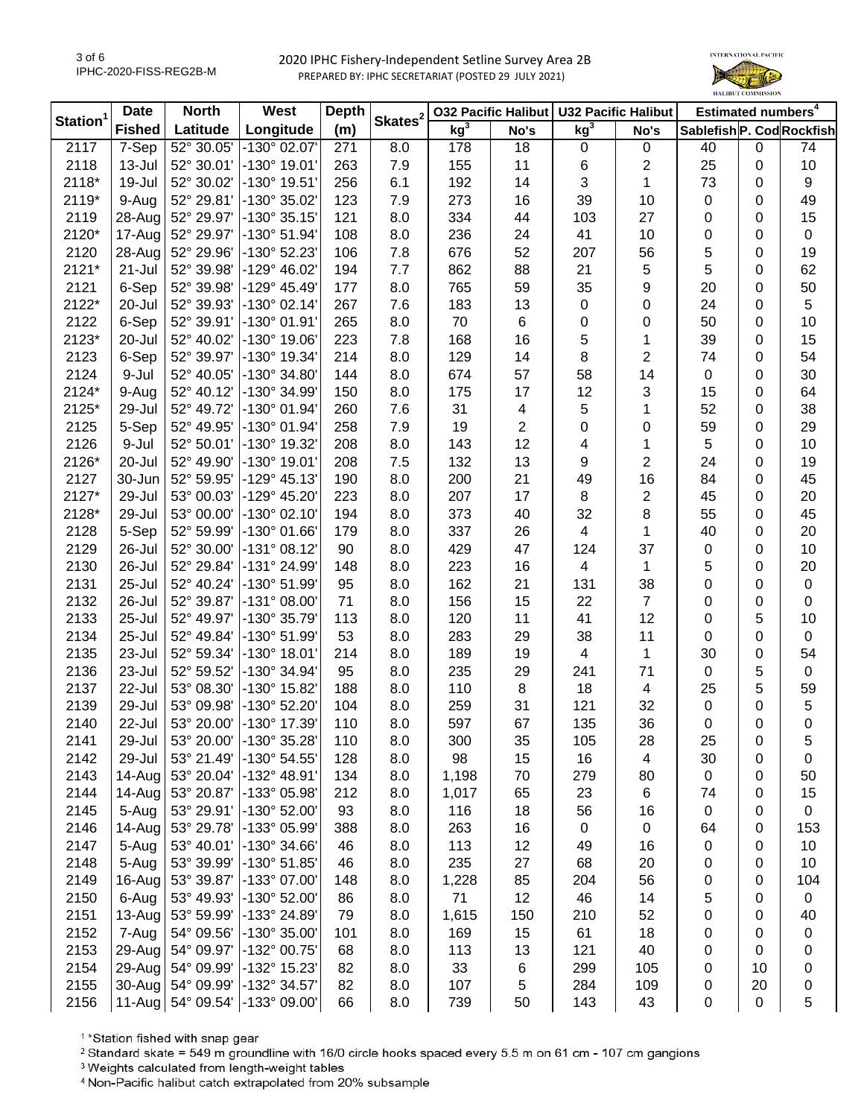

|                      | <b>Date</b>   | West<br><b>North</b> |                              | <b>Depth</b> |                     | <b>032 Pacific Halibut</b> |      | <b>U32 Pacific Halibut</b> |                | Estimated numbers <sup>4</sup> |    |             |
|----------------------|---------------|----------------------|------------------------------|--------------|---------------------|----------------------------|------|----------------------------|----------------|--------------------------------|----|-------------|
| Station <sup>1</sup> | <b>Fished</b> | Latitude             | Longitude                    | (m)          | Skates <sup>2</sup> | kg <sup>3</sup>            | No's | kg <sup>3</sup>            | No's           | Sablefish P. Cod Rockfish      |    |             |
| 2117                 | $7-Sep$       | 52° 30.05'           | -130° 02.07'                 | 271          | 8.0                 | 178                        | 18   | $\mathbf 0$                | 0              | 40                             | 0  | 74          |
| 2118                 | 13-Jul        | 52° 30.01'           | -130° 19.01'                 | 263          | 7.9                 | 155                        | 11   | 6                          | $\mathbf{2}$   | 25                             | 0  | 10          |
| 2118*                | 19-Jul        | 52° 30.02'           | -130° 19.51'                 | 256          | 6.1                 | 192                        | 14   | 3                          | 1              | 73                             | 0  | 9           |
| 2119*                | 9-Aug         | 52° 29.81'           | -130° 35.02'                 | 123          | 7.9                 | 273                        | 16   | 39                         | 10             | 0                              | 0  | 49          |
| 2119                 | 28-Aug        | 52° 29.97'           | $-130^{\circ}35.15$          | 121          | 8.0                 | 334                        | 44   | 103                        | 27             | 0                              | 0  | 15          |
| 2120*                | 17-Aug        | 52° 29.97'           | $-130^{\circ} 51.94'$        | 108          | 8.0                 | 236                        | 24   | 41                         | 10             | 0                              | 0  | $\mathbf 0$ |
| 2120                 | 28-Aug        | 52° 29.96'           | $-130^{\circ}$ 52.23         | 106          | 7.8                 | 676                        | 52   | 207                        | 56             | 5                              | 0  | 19          |
| 2121*                | $21 - Jul$    | 52° 39.98'           | $-129^{\circ}$ 46.02         | 194          | 7.7                 | 862                        | 88   | 21                         | 5              | 5                              | 0  | 62          |
| 2121                 | 6-Sep         | 52° 39.98'           | $-129°$ 45.49                | 177          | 8.0                 | 765                        | 59   | 35                         | 9              | 20                             | 0  | 50          |
| 2122*                | 20-Jul        | 52° 39.93'           | $-130^{\circ}$ 02.14         | 267          | 7.6                 | 183                        | 13   | $\pmb{0}$                  | 0              | 24                             | 0  | 5           |
| 2122                 | 6-Sep         | 52° 39.91'           | $-130^{\circ}$ 01.91         | 265          | 8.0                 | 70                         | 6    | $\pmb{0}$                  | 0              | 50                             | 0  | 10          |
| 2123*                | 20-Jul        | 52° 40.02'           | -130° 19.06'                 | 223          | 7.8                 | 168                        | 16   | 5                          | 1              | 39                             | 0  | 15          |
| 2123                 | 6-Sep         | 52° 39.97'           | -130° 19.34'                 | 214          | 8.0                 | 129                        | 14   | 8                          | $\overline{2}$ | 74                             | 0  | 54          |
| 2124                 | 9-Jul         | 52° 40.05'           | -130° 34.80'                 | 144          | 8.0                 | 674                        | 57   | 58                         | 14             | 0                              | 0  | 30          |
| 2124*                | 9-Aug         | 52° 40.12'           | -130° 34.99'                 | 150          | 8.0                 | 175                        | 17   | 12                         | 3              | 15                             | 0  | 64          |
| 2125*                | 29-Jul        | 52° 49.72'           | -130° 01.94'                 | 260          | 7.6                 | 31                         | 4    | 5                          | 1              | 52                             | 0  | 38          |
| 2125                 | 5-Sep         | 52° 49.95'           | $-130^{\circ}$ 01.94         | 258          | 7.9                 | 19                         | 2    | 0                          | 0              | 59                             | 0  | 29          |
| 2126                 | 9-Jul         | 52° 50.01'           | -130° 19.32'                 | 208          | 8.0                 | 143                        | 12   | 4                          | 1              | 5                              | 0  | 10          |
| 2126*                | 20-Jul        | 52° 49.90'           | $-130^{\circ}$ 19.01         | 208          | 7.5                 | 132                        | 13   | 9                          | $\overline{2}$ | 24                             | 0  | 19          |
| 2127                 | 30-Jun        | 52° 59.95'           | $-129°$ 45.13                | 190          | 8.0                 | 200                        | 21   | 49                         | 16             | 84                             | 0  | 45          |
| 2127*                | 29-Jul        | 53° 00.03'           | -129° 45.20'                 | 223          | 8.0                 | 207                        | 17   | 8                          | $\mathbf{2}$   | 45                             | 0  | 20          |
| 2128*                | 29-Jul        | 53° 00.00'           | -130° 02.10'                 | 194          | 8.0                 | 373                        | 40   | 32                         | 8              | 55                             | 0  | 45          |
| 2128                 | 5-Sep         | 52° 59.99'           | $-130^{\circ}$ 01.66         | 179          | 8.0                 | 337                        | 26   | 4                          | 1              | 40                             | 0  | 20          |
| 2129                 | 26-Jul        | 52° 30.00'           | $-131^{\circ}08.12'$         | 90           | 8.0                 | 429                        | 47   | 124                        | 37             | 0                              | 0  | 10          |
| 2130                 | 26-Jul        | 52° 29.84'           | -131° 24.99'                 | 148          | 8.0                 | 223                        | 16   | 4                          | $\mathbf{1}$   | 5                              | 0  | 20          |
| 2131                 | 25-Jul        | 52° 40.24'           | -130° 51.99'                 | 95           | 8.0                 | 162                        | 21   | 131                        | 38             | 0                              | 0  | $\pmb{0}$   |
| 2132                 | 26-Jul        | 52° 39.87'           | $-131^{\circ}$ 08.00         | 71           | 8.0                 | 156                        | 15   | 22                         | $\overline{7}$ | 0                              | 0  | $\pmb{0}$   |
| 2133                 | 25-Jul        | 52° 49.97'           | -130° 35.79'                 | 113          | 8.0                 | 120                        | 11   | 41                         | 12             | 0                              | 5  | 10          |
| 2134                 | 25-Jul        | 52° 49.84'           | -130° 51.99'                 | 53           | 8.0                 | 283                        | 29   | 38                         | 11             | 0                              | 0  | $\mathbf 0$ |
| 2135                 | 23-Jul        | 52° 59.34'           | $-130^{\circ}$ 18.01         | 214          | 8.0                 | 189                        | 19   | 4                          | $\mathbf{1}$   | 30                             | 0  | 54          |
| 2136                 | 23-Jul        | 52° 59.52'           | -130° 34.94'                 | 95           | 8.0                 | 235                        | 29   | 241                        | 71             | 0                              | 5  | 0           |
| 2137                 | 22-Jul        | 53° 08.30'           | -130° 15.82'                 | 188          | 8.0                 | 110                        | 8    | 18                         | 4              | 25                             | 5  | 59          |
| 2139                 | 29-Jul        | 53° 09.98'           | -130° 52.20'                 | 104          | 8.0                 | 259                        | 31   | 121                        | 32             | 0                              | 0  | 5           |
| 2140                 | 22-Jul        | 53° 20.00'           | -130° 17.39'                 | 110          | 8.0                 | 597                        | 67   | 135                        | 36             | 0                              | 0  | 0           |
| 2141                 | 29-Jul        |                      | 53° 20.00' -130° 35.28'      | 110          | 8.0                 | 300                        | 35   | 105                        | 28             | 25                             | 0  | 5           |
| 2142                 | 29-Jul        | 53° 21.49'           | $-130^{\circ} 54.55^{\circ}$ | 128          | 8.0                 | 98                         | 15   | 16                         | 4              | 30                             | 0  | 0           |
| 2143                 | 14-Aug        | 53° 20.04'           | -132° 48.91'                 | 134          | 8.0                 | 1,198                      | 70   | 279                        | 80             | 0                              | 0  | 50          |
| 2144                 | 14-Aug        | 53° 20.87'           | -133° 05.98'                 | 212          | 8.0                 | 1,017                      | 65   | 23                         | 6              | 74                             | 0  | 15          |
| 2145                 | 5-Aug         | 53° 29.91'           | -130° 52.00'                 | 93           | 8.0                 | 116                        | 18   | 56                         | 16             | 0                              | 0  | $\mathbf 0$ |
| 2146                 | 14-Aug        | 53° 29.78'           | -133° 05.99'                 | 388          | 8.0                 | 263                        | 16   | $\pmb{0}$                  | $\pmb{0}$      | 64                             | 0  | 153         |
| 2147                 | 5-Aug         | 53° 40.01'           | -130° 34.66'                 | 46           | 8.0                 | 113                        | 12   | 49                         | 16             | 0                              | 0  | 10          |
| 2148                 | 5-Aug         | 53° 39.99'           | $-130^{\circ}$ 51.85         | 46           | 8.0                 | 235                        | 27   | 68                         | 20             | 0                              | 0  | 10          |
| 2149                 | 16-Aug        | 53° 39.87'           | -133° 07.00'                 | 148          | 8.0                 | 1,228                      | 85   | 204                        | 56             | 0                              | 0  | 104         |
| 2150                 | 6-Aug         | 53° 49.93'           | -130° 52.00'                 | 86           | 8.0                 | 71                         | 12   | 46                         | 14             | 5                              | 0  | $\mathbf 0$ |
| 2151                 | 13-Aug        | 53° 59.99'           | -133° 24.89'                 | 79           | 8.0                 | 1,615                      | 150  | 210                        | 52             | 0                              | 0  | 40          |
| 2152                 | 7-Aug         | 54° 09.56'           | -130° 35.00'                 | 101          | 8.0                 | 169                        | 15   | 61                         | 18             | 0                              | 0  | 0           |
| 2153                 | 29-Aug        | 54° 09.97'           | -132° 00.75'                 | 68           | 8.0                 | 113                        | 13   | 121                        | 40             | 0                              | 0  | 0           |
| 2154                 | 29-Aug        | 54° 09.99'           | -132° 15.23'                 | 82           | 8.0                 | 33                         | 6    | 299                        | 105            | 0                              | 10 | 0           |
| 2155                 | 30-Aug        | 54° 09.99'           | -132° 34.57'                 | 82           | 8.0                 | 107                        | 5    | 284                        | 109            | 0                              | 20 | 0           |
| 2156                 | $11-Aug$      |                      | 54° 09.54' -133° 09.00'      | 66           | 8.0                 | 739                        | 50   | 143                        | 43             | 0                              | 0  | 5           |

<sup>1</sup>\*Station fished with snap gear

<sup>2</sup> Standard skate = 549 m groundline with 16/0 circle hooks spaced every 5.5 m on 61 cm - 107 cm gangions

<sup>3</sup> Weights calculated from length-weight tables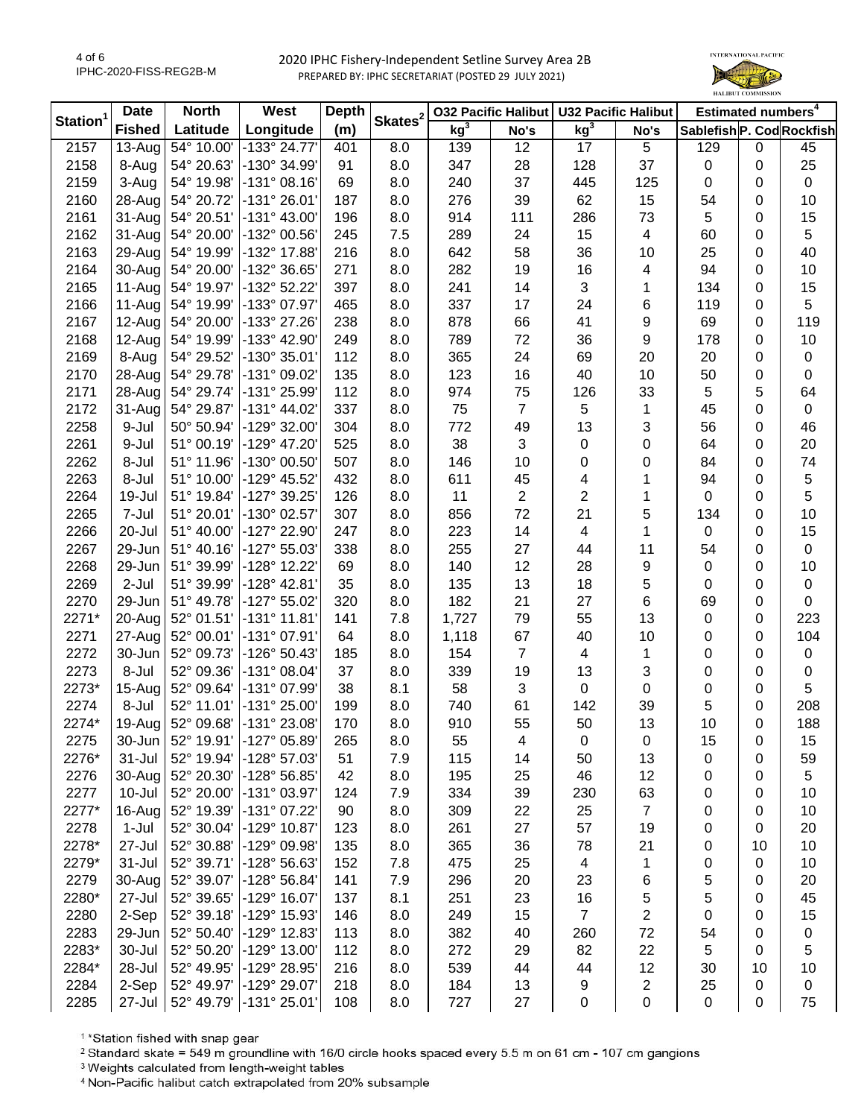

|                      | <b>Date</b>          | <b>North</b> | West<br><b>Depth</b>  |     | <b>032 Pacific Halibut</b> |                 | <b>U32 Pacific Halibut</b> |                         | Estimated numbers <sup>4</sup> |                           |    |             |
|----------------------|----------------------|--------------|-----------------------|-----|----------------------------|-----------------|----------------------------|-------------------------|--------------------------------|---------------------------|----|-------------|
| Station <sup>1</sup> | <b>Fished</b>        | Latitude     | Longitude             | (m) | Skates <sup>2</sup>        | kg <sup>3</sup> | No's                       | kg <sup>3</sup>         | No's                           | Sablefish P. Cod Rockfish |    |             |
| 2157                 | $\overline{13}$ -Aug | 54° 10.00'   | $-133^{\circ}$ 24.77  | 401 | 8.0                        | 139             | 12                         | 17                      | 5                              | 129                       | 0  | 45          |
| 2158                 | 8-Aug                | 54° 20.63'   | -130° 34.99'          | 91  | 8.0                        | 347             | 28                         | 128                     | 37                             | 0                         | 0  | 25          |
| 2159                 | 3-Aug                | 54° 19.98'   | $-131°08.16'$         | 69  | 8.0                        | 240             | 37                         | 445                     | 125                            | 0                         | 0  | $\mathbf 0$ |
| 2160                 | 28-Aug               | 54° 20.72'   | $-131°26.01'$         | 187 | 8.0                        | 276             | 39                         | 62                      | 15                             | 54                        | 0  | 10          |
| 2161                 | 31-Aug               | 54° 20.51'   | $-131^{\circ}$ 43.00' | 196 | 8.0                        | 914             | 111                        | 286                     | 73                             | 5                         | 0  | 15          |
| 2162                 | 31-Aug               | 54° 20.00'   | -132° 00.56'          | 245 | 7.5                        | 289             | 24                         | 15                      | $\overline{\mathcal{A}}$       | 60                        | 0  | 5           |
| 2163                 | 29-Aug               | 54° 19.99'   | -132° 17.88'          | 216 | 8.0                        | 642             | 58                         | 36                      | 10                             | 25                        | 0  | 40          |
| 2164                 | 30-Aug               | 54° 20.00'   | -132° 36.65'          | 271 | 8.0                        | 282             | 19                         | 16                      | 4                              | 94                        | 0  | 10          |
| 2165                 | 11-Aug               | 54° 19.97'   | -132° 52.22'          | 397 | 8.0                        | 241             | 14                         | 3                       | 1                              | 134                       | 0  | 15          |
| 2166                 | 11-Aug               | 54° 19.99'   | -133° 07.97'          | 465 | 8.0                        | 337             | 17                         | 24                      | 6                              | 119                       | 0  | 5           |
| 2167                 | 12-Aug               | 54° 20.00'   | -133° 27.26'          | 238 | 8.0                        | 878             | 66                         | 41                      | 9                              | 69                        | 0  | 119         |
| 2168                 | 12-Aug               | 54° 19.99'   | -133° 42.90'          | 249 | 8.0                        | 789             | 72                         | 36                      | 9                              | 178                       | 0  | 10          |
| 2169                 | 8-Aug                | 54° 29.52'   | -130° 35.01'          | 112 | 8.0                        | 365             | 24                         | 69                      | 20                             | 20                        | 0  | 0           |
| 2170                 | 28-Aug               | 54° 29.78'   | -131° 09.02'          | 135 | 8.0                        | 123             | 16                         | 40                      | 10                             | 50                        | 0  | 0           |
| 2171                 | 28-Aug               | 54° 29.74'   | -131° 25.99'          | 112 | 8.0                        | 974             | 75                         | 126                     | 33                             | 5                         | 5  | 64          |
| 2172                 | 31-Aug               | 54° 29.87'   | -131° 44.02'          | 337 | 8.0                        | 75              | $\overline{7}$             | 5                       | 1                              | 45                        | 0  | $\mathbf 0$ |
| 2258                 | 9-Jul                | 50° 50.94'   | -129° 32.00'          | 304 | 8.0                        | 772             | 49                         | 13                      | 3                              | 56                        | 0  | 46          |
| 2261                 | 9-Jul                | 51° 00.19'   | -129° 47.20'          | 525 | 8.0                        | 38              | 3                          | $\pmb{0}$               | 0                              | 64                        | 0  | 20          |
| 2262                 | 8-Jul                | 51° 11.96'   | -130° 00.50'          | 507 | 8.0                        | 146             | 10                         | 0                       | 0                              | 84                        | 0  | 74          |
| 2263                 | 8-Jul                | 51° 10.00'   | -129° 45.52'          | 432 | 8.0                        | 611             | 45                         | 4                       | 1                              | 94                        | 0  | 5           |
| 2264                 | 19-Jul               | 51° 19.84'   | -127° 39.25'          | 126 | 8.0                        | 11              | $\overline{2}$             | $\overline{c}$          | 1                              | 0                         | 0  | 5           |
| 2265                 | 7-Jul                | 51° 20.01'   | -130° 02.57'          | 307 | 8.0                        | 856             | 72                         | 21                      | 5                              | 134                       | 0  | 10          |
| 2266                 | 20-Jul               | 51° 40.00'   | -127° 22.90'          | 247 | 8.0                        | 223             | 14                         | $\overline{\mathbf{4}}$ | 1                              | 0                         | 0  | 15          |
| 2267                 | 29-Jun               | 51° 40.16'   | -127° 55.03'          | 338 | 8.0                        | 255             | 27                         | 44                      | 11                             | 54                        | 0  | $\pmb{0}$   |
| 2268                 | 29-Jun               | 51° 39.99'   | -128° 12.22'          | 69  | 8.0                        | 140             | 12                         | 28                      | $\boldsymbol{9}$               | 0                         | 0  | 10          |
| 2269                 | $2-Jul$              | 51° 39.99'   | -128° 42.81'          | 35  | 8.0                        | 135             | 13                         | 18                      | $\mathbf 5$                    | 0                         | 0  | $\mathbf 0$ |
| 2270                 | 29-Jun               | 51° 49.78'   | -127° 55.02'          | 320 | 8.0                        | 182             | 21                         | 27                      | $\,6\,$                        | 69                        | 0  | $\mathbf 0$ |
| 2271*                | 20-Aug               | 52° 01.51'   | $-131°$ 11.81'        | 141 | 7.8                        | 1,727           | 79                         | 55                      | 13                             | 0                         | 0  | 223         |
| 2271                 | 27-Aug               | 52° 00.01'   | -131° 07.91'          | 64  | 8.0                        | 1,118           | 67                         | 40                      | 10                             | 0                         | 0  | 104         |
| 2272                 | 30-Jun               | 52° 09.73'   | -126° 50.43'          | 185 | 8.0                        | 154             | $\overline{7}$             | 4                       | 1                              | 0                         | 0  | $\pmb{0}$   |
| 2273                 | 8-Jul                | 52° 09.36'   | -131° 08.04'          | 37  | 8.0                        | 339             | 19                         | 13                      | 3                              | 0                         | 0  | $\pmb{0}$   |
| 2273*                | 15-Aug               | 52° 09.64'   | -131° 07.99'          | 38  | 8.1                        | 58              | 3                          | 0                       | $\mathbf 0$                    | 0                         | 0  | 5           |
| 2274                 | 8-Jul                | 52° 11.01'   | -131° 25.00'          | 199 | 8.0                        | 740             | 61                         | 142                     | 39                             | 5                         | 0  | 208         |
| 2274*                | 19-Aug               | 52° 09.68'   | -131° 23.08'          | 170 | 8.0                        | 910             | 55                         | 50                      | 13                             | 10                        | 0  | 188         |
| 2275                 | 30-Jun               | 52° 19.91'   | -127° 05.89'          | 265 | 8.0                        | 55              | 4                          | 0                       | 0                              | 15                        | 0  | 15          |
| 2276*                | $31 -$ Jul           | 52° 19.94'   | -128° 57.03'          | 51  | 7.9                        | 115             | 14                         | 50                      | 13                             | 0                         | 0  | 59          |
| 2276                 | 30-Aug               | 52° 20.30'   | -128° 56.85'          | 42  | 8.0                        | 195             | 25                         | 46                      | 12                             | 0                         | 0  | 5           |
| 2277                 | 10-Jul               | 52° 20.00'   | -131° 03.97'          | 124 | 7.9                        | 334             | 39                         | 230                     | 63                             | 0                         | 0  | 10          |
| 2277*                | 16-Aug               | 52° 19.39'   | $-131^{\circ}$ 07.22' | 90  | 8.0                        | 309             | 22                         | 25                      | $\overline{7}$                 | 0                         | 0  | 10          |
| 2278                 | $1-Jul$              | 52° 30.04'   | -129° 10.87'          | 123 | 8.0                        | 261             | 27                         | 57                      | 19                             | 0                         | 0  | 20          |
| 2278*                | 27-Jul               | 52° 30.88'   | -129° 09.98'          | 135 | 8.0                        | 365             | 36                         | 78                      | 21                             | 0                         | 10 | 10          |
| 2279*                | $31 -$ Jul           | 52° 39.71'   | -128° 56.63'          | 152 | 7.8                        | 475             | 25                         | 4                       | 1                              | 0                         | 0  | 10          |
| 2279                 | 30-Aug               | 52° 39.07'   | -128° 56.84'          | 141 | 7.9                        | 296             | 20                         | 23                      | 6                              | 5                         | 0  | 20          |
| 2280*                | 27-Jul               | 52° 39.65'   | -129° 16.07'          | 137 | 8.1                        | 251             | 23                         | 16                      | 5                              | 5                         | 0  | 45          |
| 2280                 | 2-Sep                | 52° 39.18'   | -129° 15.93'          | 146 | 8.0                        | 249             | 15                         | $\overline{7}$          | $\boldsymbol{2}$               | 0                         | 0  | 15          |
| 2283                 | 29-Jun               | 52° 50.40'   | -129° 12.83'          | 113 | 8.0                        | 382             | 40                         | 260                     | 72                             | 54                        | 0  | 0           |
| 2283*                | 30-Jul               | 52° 50.20'   | -129° 13.00'          | 112 | 8.0                        | 272             | 29                         | 82                      | 22                             | 5                         | 0  | 5           |
| 2284*                | 28-Jul               | 52° 49.95'   | -129° 28.95'          | 216 | 8.0                        | 539             | 44                         | 44                      | 12                             | 30                        | 10 | 10          |
| 2284                 | 2-Sep                | 52° 49.97'   | -129° 29.07'          | 218 | 8.0                        | 184             | 13                         | 9                       | $\overline{c}$                 | 25                        | 0  | $\pmb{0}$   |
| 2285                 | 27-Jul               | 52° 49.79'   | $-131^{\circ} 25.01'$ | 108 | 8.0                        | 727             | 27                         | 0                       | $\pmb{0}$                      | $\pmb{0}$                 | 0  | 75          |

<sup>1</sup>\*Station fished with snap gear

<sup>2</sup> Standard skate = 549 m groundline with 16/0 circle hooks spaced every 5.5 m on 61 cm - 107 cm gangions

<sup>3</sup> Weights calculated from length-weight tables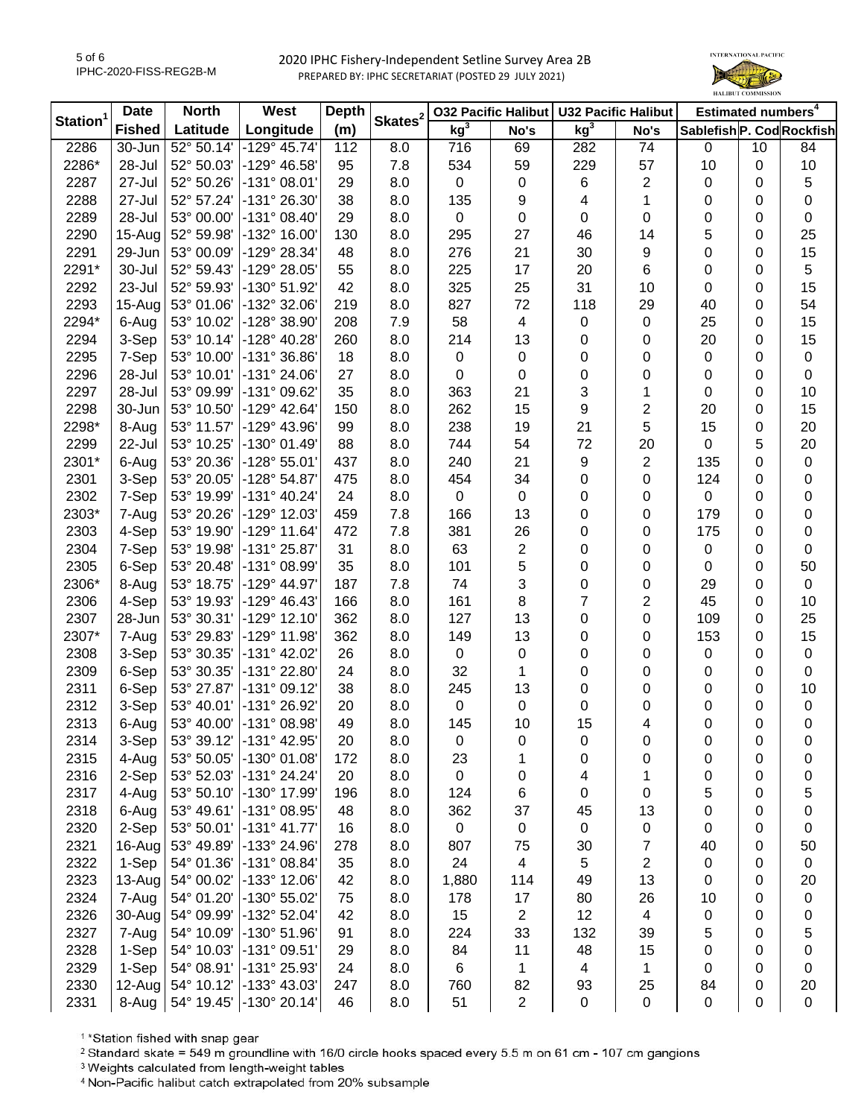

|                      | <b>Date</b><br><b>North</b> |            | West                    | <b>Depth</b> |                     | <b>032 Pacific Halibut</b> |                | <b>U32 Pacific Halibut</b> |                  | Estimated numbers <sup>4</sup> |    |           |
|----------------------|-----------------------------|------------|-------------------------|--------------|---------------------|----------------------------|----------------|----------------------------|------------------|--------------------------------|----|-----------|
| Station <sup>1</sup> | <b>Fished</b>               | Latitude   | Longitude               | (m)          | Skates <sup>2</sup> | kg <sup>3</sup>            | No's           | kg <sup>3</sup>            | No's             | Sablefish P. Cod Rockfish      |    |           |
| 2286                 | 30-Jun                      | 52° 50.14' | $-129°$ 45.74           | 112          | 8.0                 | 716                        | 69             | 282                        | 74               | 0                              | 10 | 84        |
| 2286*                | 28-Jul                      | 52° 50.03' | -129° 46.58'            | 95           | 7.8                 | 534                        | 59             | 229                        | 57               | 10                             | 0  | 10        |
| 2287                 | 27-Jul                      | 52° 50.26' | $-131°08.01'$           | 29           | 8.0                 | $\pmb{0}$                  | $\mathbf 0$    | 6                          | $\overline{2}$   | 0                              | 0  | 5         |
| 2288                 | 27-Jul                      | 52° 57.24' | -131° 26.30'            | 38           | 8.0                 | 135                        | 9              | 4                          | 1                | 0                              | 0  | 0         |
| 2289                 | 28-Jul                      | 53° 00.00' | $-131^{\circ}$ 08.40    | 29           | 8.0                 | $\mathbf 0$                | 0              | 0                          | 0                | 0                              | 0  | 0         |
| 2290                 | 15-Aug                      | 52° 59.98' | -132° 16.00'            | 130          | 8.0                 | 295                        | 27             | 46                         | 14               | 5                              | 0  | 25        |
| 2291                 | 29-Jun                      | 53° 00.09' | -129° 28.34'            | 48           | 8.0                 | 276                        | 21             | 30                         | 9                | 0                              | 0  | 15        |
| 2291*                | 30-Jul                      | 52° 59.43' | -129° 28.05'            | 55           | 8.0                 | 225                        | 17             | 20                         | 6                | 0                              | 0  | 5         |
| 2292                 | 23-Jul                      | 52° 59.93' | -130° 51.92'            | 42           | 8.0                 | 325                        | 25             | 31                         | 10               | 0                              | 0  | 15        |
| 2293                 | 15-Aug                      | 53° 01.06' | -132° 32.06'            | 219          | 8.0                 | 827                        | 72             | 118                        | 29               | 40                             | 0  | 54        |
| 2294*                | 6-Aug                       | 53° 10.02' | -128° 38.90'            | 208          | 7.9                 | 58                         | 4              | 0                          | 0                | 25                             | 0  | 15        |
| 2294                 | 3-Sep                       | 53° 10.14' | $-128^{\circ}$ 40.28    | 260          | 8.0                 | 214                        | 13             | 0                          | 0                | 20                             | 0  | 15        |
| 2295                 | 7-Sep                       | 53° 10.00' | $-131^{\circ}36.86'$    | 18           | 8.0                 | 0                          | 0              | 0                          | 0                | 0                              | 0  | $\pmb{0}$ |
| 2296                 | 28-Jul                      | 53° 10.01' | $-131^{\circ} 24.06'$   | 27           | 8.0                 | 0                          | 0              | 0                          | 0                | 0                              | 0  | 0         |
| 2297                 | 28-Jul                      | 53° 09.99' | -131° 09.62'            | 35           | 8.0                 | 363                        | 21             | 3                          | 1                | 0                              | 0  | 10        |
| 2298                 | 30-Jun                      | 53° 10.50' | $-129^{\circ}$ 42.64    | 150          | 8.0                 | 262                        | 15             | 9                          | 2                | 20                             | 0  | 15        |
| 2298*                | 8-Aug                       | 53° 11.57' | -129° 43.96'            | 99           | 8.0                 | 238                        | 19             | 21                         | 5                | 15                             | 0  | 20        |
| 2299                 | 22-Jul                      | 53° 10.25' | -130° 01.49'            | 88           | 8.0                 | 744                        | 54             | 72                         | 20               | 0                              | 5  | 20        |
| 2301*                | 6-Aug                       | 53° 20.36' | $-128°55.01'$           | 437          | 8.0                 | 240                        | 21             | 9                          | $\overline{2}$   | 135                            | 0  | $\pmb{0}$ |
| 2301                 | 3-Sep                       | 53° 20.05' | -128° 54.87'            | 475          | 8.0                 | 454                        | 34             | 0                          | 0                | 124                            | 0  | 0         |
| 2302                 | 7-Sep                       | 53° 19.99' | $-131^{\circ}$ 40.24    | 24           | 8.0                 | $\pmb{0}$                  | $\pmb{0}$      | 0                          | 0                | 0                              | 0  | 0         |
| 2303*                | 7-Aug                       | 53° 20.26' | $-129°$ 12.03           | 459          | 7.8                 | 166                        | 13             | 0                          | 0                | 179                            | 0  | 0         |
| 2303                 | 4-Sep                       | 53° 19.90' | $-129°$ 11.64           | 472          | 7.8                 | 381                        | 26             | 0                          | 0                | 175                            | 0  | 0         |
| 2304                 | 7-Sep                       | 53° 19.98' | -131° 25.87'            | 31           | 8.0                 | 63                         | $\overline{2}$ | 0                          | 0                | 0                              | 0  | 0         |
| 2305                 | 6-Sep                       | 53° 20.48' | $-131^{\circ}$ 08.99'   | 35           | 8.0                 | 101                        | 5              | 0                          | 0                | 0                              | 0  | 50        |
| 2306*                | 8-Aug                       | 53° 18.75' | $-129^{\circ}$ 44.97    | 187          | 7.8                 | 74                         | 3              | 0                          | 0                | 29                             | 0  | $\pmb{0}$ |
| 2306                 | 4-Sep                       | 53° 19.93' | $-129°$ 46.43           | 166          | 8.0                 | 161                        | 8              | $\overline{7}$             | $\overline{2}$   | 45                             | 0  | 10        |
| 2307                 | 28-Jun                      | 53° 30.31' | $-129°$ 12.10           | 362          | 8.0                 | 127                        | 13             | 0                          | 0                | 109                            | 0  | 25        |
| 2307*                | 7-Aug                       | 53° 29.83' | $-129°$ 11.98           | 362          | 8.0                 | 149                        | 13             | 0                          | 0                | 153                            | 0  | 15        |
| 2308                 | 3-Sep                       | 53° 30.35' | -131° 42.02'            | 26           | 8.0                 | 0                          | 0              | 0                          | 0                | 0                              | 0  | $\pmb{0}$ |
| 2309                 | 6-Sep                       | 53° 30.35' | -131° 22.80'            | 24           | 8.0                 | 32                         | 1              | 0                          | 0                | 0                              | 0  | 0         |
| 2311                 | 6-Sep                       | 53° 27.87' | -131° 09.12'            | 38           | 8.0                 | 245                        | 13             | 0                          | 0                | 0                              | 0  | 10        |
| 2312                 | 3-Sep                       | 53° 40.01' | -131° 26.92'            | 20           | 8.0                 | $\pmb{0}$                  | $\pmb{0}$      | 0                          | 0                | 0                              | 0  | 0         |
| 2313                 | 6-Aug                       | 53° 40.00' | $-131°08.98'$           | 49           | 8.0                 | 145                        | 10             | 15                         | 4                | 0                              | 0  | 0         |
| 2314                 | 3-Sep                       | 53° 39.12' | -131° 42.95'            | 20           | 8.0                 | 0                          | 0              | 0                          | 0                | 0                              | 0  | 0         |
| 2315                 | 4-Aug                       | 53° 50.05' | $-130^{\circ}$ 01.08    | 172          | 8.0                 | 23                         | 1              | 0                          | 0                | 0                              | 0  | 0         |
| 2316                 | 2-Sep                       | 53° 52.03' | -131° 24.24'            | 20           | 8.0                 | $\mathbf 0$                | 0              | 4                          | 1                | 0                              | 0  | 0         |
| 2317                 | 4-Aug                       | 53° 50.10' | -130° 17.99'            | 196          | 8.0                 | 124                        | 6              | 0                          | 0                | 5                              | 0  | 5         |
| 2318                 | 6-Aug                       | 53° 49.61' | -131° 08.95'            | 48           | 8.0                 | 362                        | 37             | 45                         | 13               | 0                              | 0  | 0         |
| 2320                 | 2-Sep                       |            | 53° 50.01' -131° 41.77' | 16           | 8.0                 | $\mathsf 0$                | $\pmb{0}$      | $\pmb{0}$                  | 0                | 0                              | 0  | 0         |
| 2321                 | 16-Aug                      | 53° 49.89' | -133° 24.96'            | 278          | 8.0                 | 807                        | 75             | 30                         | $\boldsymbol{7}$ | 40                             | 0  | 50        |
| 2322                 | 1-Sep                       | 54° 01.36' | $-131°08.84'$           | 35           | 8.0                 | 24                         | 4              | 5                          | $\overline{2}$   | 0                              | 0  | $\pmb{0}$ |
| 2323                 | 13-Aug                      | 54° 00.02' | -133° 12.06'            | 42           | 8.0                 | 1,880                      | 114            | 49                         | 13               | 0                              | 0  | 20        |
| 2324                 | 7-Aug                       | 54° 01.20' | -130° 55.02'            | 75           | 8.0                 | 178                        | 17             | 80                         | 26               | 10                             | 0  | 0         |
| 2326                 | 30-Aug                      | 54° 09.99' | -132° 52.04'            | 42           | 8.0                 | 15                         | 2              | 12                         | 4                | 0                              | 0  | 0         |
| 2327                 | 7-Aug                       | 54° 10.09' | -130° 51.96'            | 91           | 8.0                 | 224                        | 33             | 132                        | 39               | 5                              | 0  | 5         |
| 2328                 | 1-Sep                       | 54° 10.03' | -131° 09.51'            | 29           | 8.0                 | 84                         | 11             | 48                         | 15               | 0                              | 0  | 0         |
| 2329                 | 1-Sep                       |            | 54° 08.91' -131° 25.93' | 24           | 8.0                 | 6                          | 1              | 4                          | 1                | 0                              | 0  | 0         |
| 2330                 | 12-Aug                      |            | 54° 10.12' -133° 43.03' | 247          | 8.0                 | 760                        | 82             | 93                         | 25               | 84                             | 0  | 20        |
| 2331                 | 8-Aug                       |            | 54° 19.45' -130° 20.14' | 46           | 8.0                 | 51                         | $\overline{2}$ | $\pmb{0}$                  | $\pmb{0}$        | $\mathsf 0$                    | 0  | $\pmb{0}$ |

<sup>1</sup>\*Station fished with snap gear

<sup>2</sup> Standard skate = 549 m groundline with 16/0 circle hooks spaced every 5.5 m on 61 cm - 107 cm gangions

<sup>3</sup> Weights calculated from length-weight tables